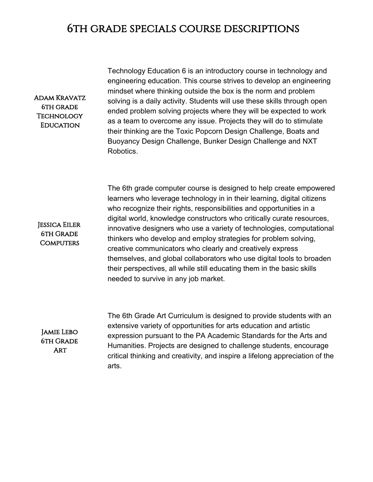## 6th grade specials course descriptions

#### Adam Kravatz 6th grade Technology **EDUCATION**

Jessica Eiler 6th Grade **COMPUTERS** 

Technology Education 6 is an introductory course in technology and engineering education. This course strives to develop an engineering mindset where thinking outside the box is the norm and problem solving is a daily activity. Students will use these skills through open ended problem solving projects where they will be expected to work as a team to overcome any issue. Projects they will do to stimulate their thinking are the Toxic Popcorn Design Challenge, Boats and Buoyancy Design Challenge, Bunker Design Challenge and NXT Robotics.

The 6th grade computer course is designed to help create empowered learners who leverage technology in in their learning, digital citizens who recognize their rights, responsibilities and opportunities in a digital world, knowledge constructors who critically curate resources, innovative designers who use a variety of technologies, computational thinkers who develop and employ strategies for problem solving, creative communicators who clearly and creatively express themselves, and global collaborators who use digital tools to broaden their perspectives, all while still educating them in the basic skills needed to survive in any job market.

Jamie Lebo 6th Grade **ART** 

The 6th Grade Art Curriculum is designed to provide students with an extensive variety of opportunities for arts education and artistic expression pursuant to the PA Academic Standards for the Arts and Humanities. Projects are designed to challenge students, encourage critical thinking and creativity, and inspire a lifelong appreciation of the arts.